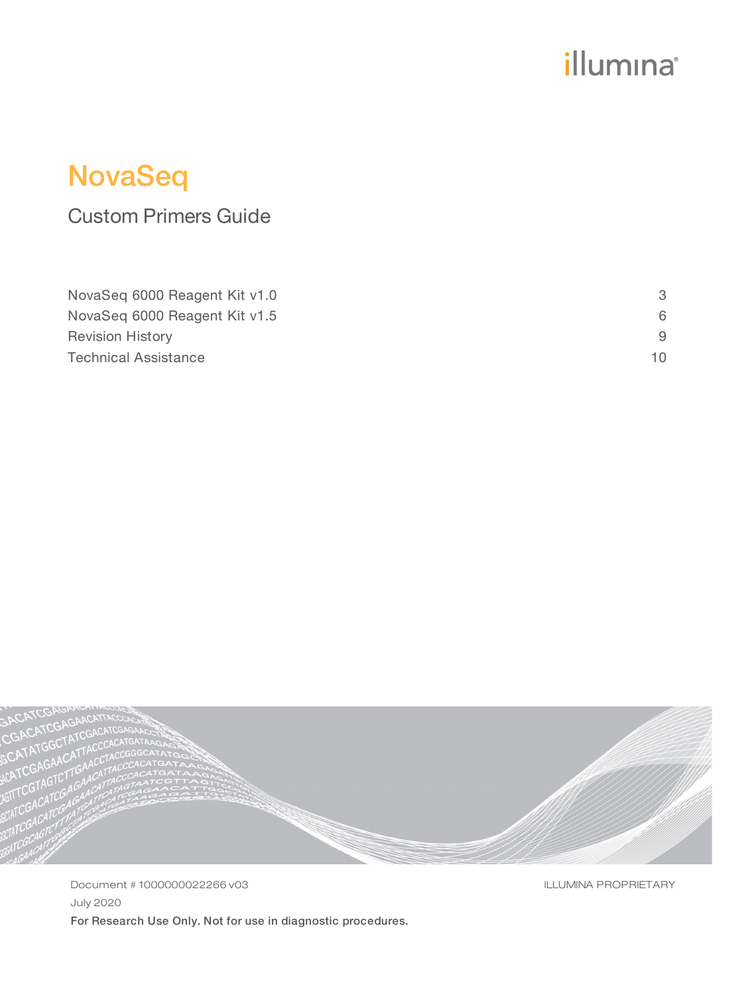# illumina®

# NovaSeq

## Custom Primers Guide

| NovaSeg 6000 Reagent Kit v1.0 |     |
|-------------------------------|-----|
| NovaSeg 6000 Reagent Kit v1.5 | 6   |
| <b>Revision History</b>       |     |
| <b>Technical Assistance</b>   | 10. |



Document # 1000000022266 v03 July 2020 For Research Use Only. Not for use in diagnostic procedures. ILLUMINA PROPRIETARY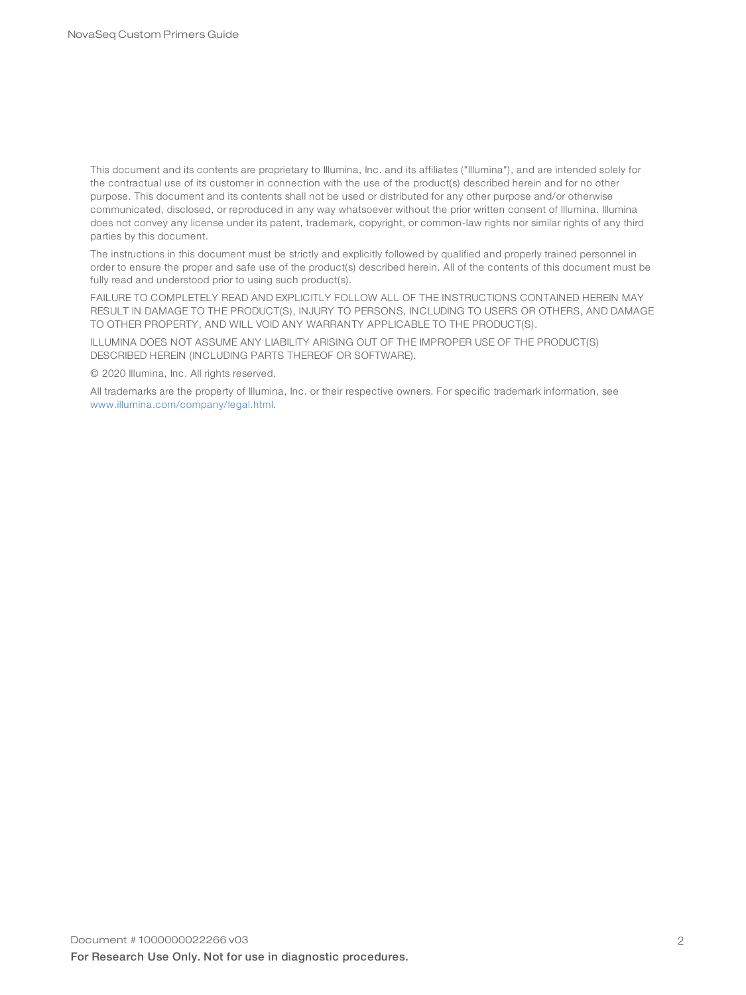This document and its contents are proprietary to Illumina, Inc. and its affiliates ("Illumina"), and are intended solely for the contractual use of its customer in connection with the use of the product(s) described herein and for no other purpose. This document and its contents shall not be used or distributed for any other purpose and/or otherwise communicated, disclosed, or reproduced in any way whatsoever without the prior written consent of Illumina. Illumina does not convey any license under its patent, trademark, copyright, or common-law rights nor similar rights of any third parties by this document.

The instructions in this document must be strictly and explicitly followed by qualified and properly trained personnel in order to ensure the proper and safe use of the product(s) described herein. All of the contents of this document must be fully read and understood prior to using such product(s).

FAILURE TO COMPLETELY READ AND EXPLICITLY FOLLOW ALL OF THE INSTRUCTIONS CONTAINED HEREIN MAY RESULT IN DAMAGE TO THE PRODUCT(S), INJURY TO PERSONS, INCLUDING TO USERS OR OTHERS, AND DAMAGE TO OTHER PROPERTY, AND WILL VOID ANY WARRANTY APPLICABLE TO THE PRODUCT(S).

ILLUMINA DOES NOT ASSUME ANY LIABILITY ARISING OUT OF THE IMPROPER USE OF THE PRODUCT(S) DESCRIBED HEREIN (INCLUDING PARTS THEREOF OR SOFTWARE).

© 2020 Illumina, Inc. All rights reserved.

All trademarks are the property of Illumina, Inc. or their respective owners. For specific trademark information, see [www.illumina.com/company/legal.html.](http://www.illumina.com/company/legal.html)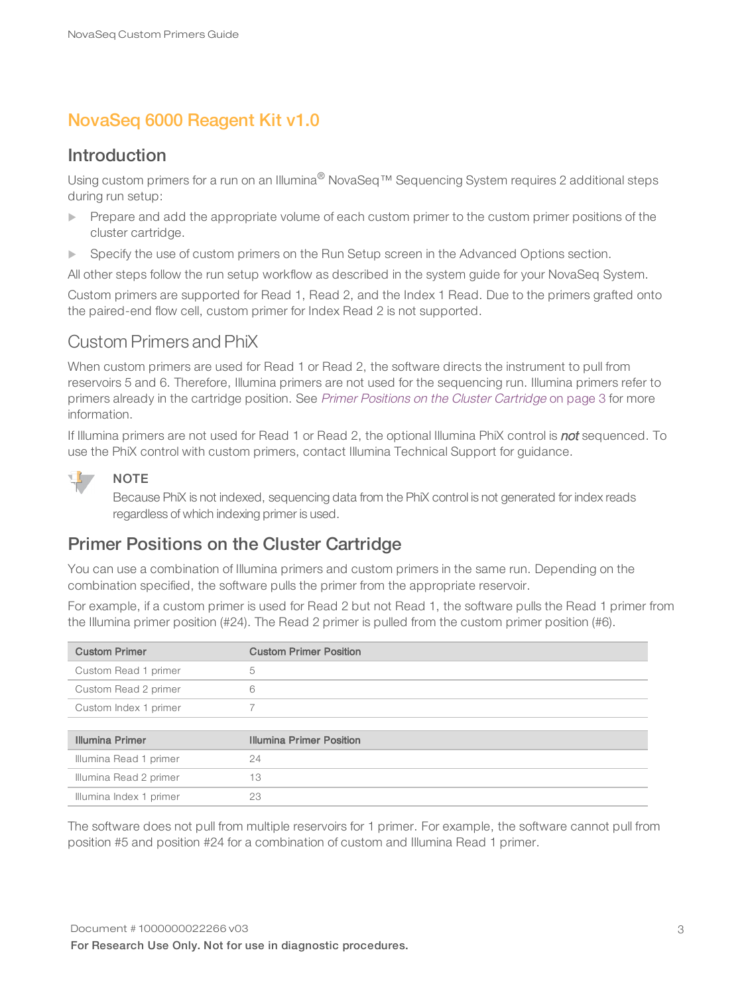### <span id="page-2-0"></span>NovaSeq 6000 Reagent Kit v1.0

#### Introduction

Using custom primers for a run on an Illumina® NovaSeq<sup>™</sup> Sequencing System requires 2 additional steps during run setup:

- $\blacktriangleright$  Prepare and add the appropriate volume of each custom primer to the custom primer positions of the cluster cartridge.
- Specify the use of custom primers on the Run Setup screen in the Advanced Options section.

All other steps follow the run setup workflow as described in the system guide for your NovaSeq System.

Custom primers are supported for Read 1, Read 2, and the Index 1 Read. Due to the primers grafted onto the paired-end flow cell, custom primer for Index Read 2 is not supported.

#### Custom Primers and PhiX

When custom primers are used for Read 1 or Read 2, the software directs the instrument to pull from reservoirs 5 and 6. Therefore, Illumina primers are not used for the sequencing run. Illumina primers refer to primers already in the cartridge position. See Primer Positions on the Cluster [Cartridge](#page-2-1) on page 3 for more information.

If Illumina primers are not used for Read 1 or Read 2, the optional Illumina PhiX control is not sequenced. To use the PhiX control with custom primers, contact Illumina Technical Support for guidance.

#### **NOTE**

Because PhiX is not indexed, sequencing data from the PhiX control is not generated for index reads regardless of which indexing primer is used.

#### <span id="page-2-1"></span>Primer Positions on the Cluster Cartridge

You can use a combination of Illumina primers and custom primers in the same run. Depending on the combination specified, the software pulls the primer from the appropriate reservoir.

For example, if a custom primer is used for Read 2 but not Read 1, the software pulls the Read 1 primer from the Illumina primer position (#24). The Read 2 primer is pulled from the custom primer position (#6).

| <b>Custom Primer</b>   | <b>Custom Primer Position</b>   |
|------------------------|---------------------------------|
| Custom Read 1 primer   | 5                               |
| Custom Read 2 primer   | 6                               |
| Custom Index 1 primer  |                                 |
|                        |                                 |
| <b>Illumina Primer</b> | <b>Illumina Primer Position</b> |
| Illumina Read 1 primer | 24                              |
| Illumina Read 2 primer | 13                              |
|                        |                                 |

The software does not pull from multiple reservoirs for 1 primer. For example, the software cannot pull from position #5 and position #24 for a combination of custom and Illumina Read 1 primer.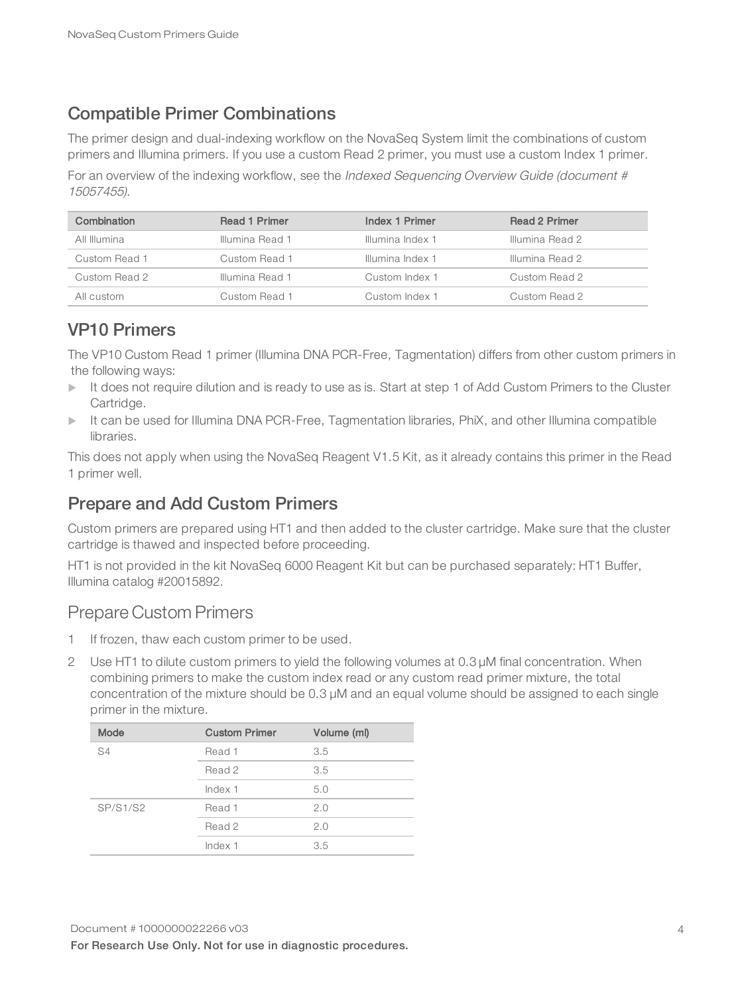### Compatible Primer Combinations

The primer design and dual-indexing workflow on the NovaSeq System limit the combinations of custom primers and Illumina primers. If you use a custom Read 2 primer, you must use a custom Index 1 primer.

For an overview of the indexing workflow, see the Indexed Sequencing Overview Guide (document # 15057455).

| Combination   | <b>Read 1 Primer</b> | Index 1 Primer   | <b>Read 2 Primer</b> |
|---------------|----------------------|------------------|----------------------|
| All Illumina  | Illumina Read 1      | Illumina Index 1 | Illumina Read 2      |
| Custom Read 1 | Custom Read 1        | Illumina Index 1 | Illumina Read 2      |
| Custom Read 2 | Illumina Read 1      | Custom Index 1   | Custom Read 2        |
| All custom    | Custom Read 1        | Custom Index 1   | Custom Read 2        |

#### VP10 Primers

The VP10 Custom Read 1 primer (Illumina DNA PCR-Free, Tagmentation) differs from other custom primers in the following ways:

- It does not require dilution and is ready to use as is. Start at step 1 of Add Custom Primers to the Cluster Cartridge.
- It can be used for Illumina DNA PCR-Free, Tagmentation libraries, PhiX, and other Illumina compatible libraries.

This does not apply when using the NovaSeq Reagent V1.5 Kit, as it already contains this primer in the Read 1 primer well.

### Prepare and Add Custom Primers

Custom primers are prepared using HT1 and then added to the cluster cartridge. Make sure that the cluster cartridge is thawed and inspected before proceeding.

HT1 is not provided in the kit NovaSeq 6000 Reagent Kit but can be purchased separately: HT1 Buffer, Illumina catalog #20015892.

#### Prepare Custom Primers

- 1 If frozen, thaw each custom primer to be used.
- 2 Use HT1 to dilute custom primers to yield the following volumes at 0.3 µM final concentration. When combining primers to make the custom index read or any custom read primer mixture, the total concentration of the mixture should be 0.3 µM and an equal volume should be assigned to each single primer in the mixture.

| Mode            | <b>Custom Primer</b> | Volume (ml) |
|-----------------|----------------------|-------------|
| S4              | Read 1               | 3.5         |
|                 | Read 2               | 3.5         |
|                 | Index 1              | 5.0         |
| <b>SP/S1/S2</b> | Read 1               | 2.0         |
|                 | Read 2               | 2.0         |
|                 | Index 1              | 3.5         |
|                 |                      |             |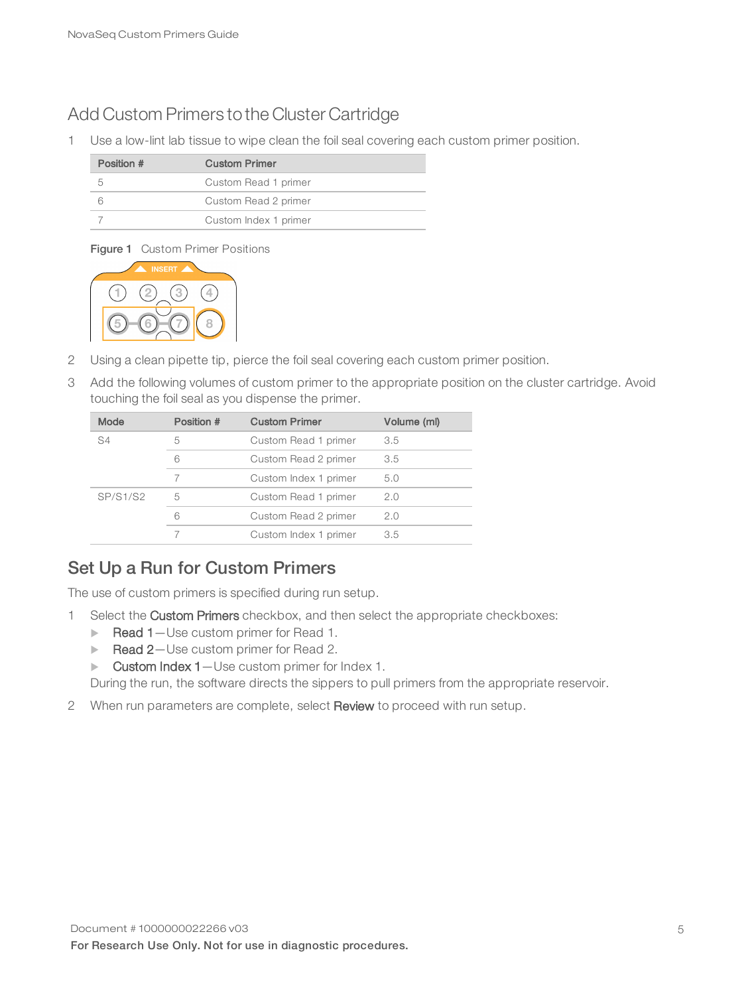#### Add Custom Primers to the Cluster Cartridge

1 Use a low-lint lab tissue to wipe clean the foil seal covering each custom primer position.

| Position # | <b>Custom Primer</b>  |
|------------|-----------------------|
| h          | Custom Read 1 primer  |
| R          | Custom Read 2 primer  |
|            | Custom Index 1 primer |

#### Figure 1 Custom Primer Positions



- 2 Using a clean pipette tip, pierce the foil seal covering each custom primer position.
- 3 Add the following volumes of custom primer to the appropriate position on the cluster cartridge. Avoid touching the foil seal as you dispense the primer.

| Mode           | Position # | <b>Custom Primer</b>  | Volume (ml) |
|----------------|------------|-----------------------|-------------|
| S <sub>4</sub> | 5          | Custom Read 1 primer  | 3.5         |
|                | 6          | Custom Read 2 primer  | 3.5         |
|                | 7          | Custom Index 1 primer | 5.0         |
| SP/S1/S2       | 5          | Custom Read 1 primer  | 2.0         |
|                | 6          | Custom Read 2 primer  | 2.0         |
|                |            | Custom Index 1 primer | 3.5         |
|                |            |                       |             |

#### Set Up a Run for Custom Primers

The use of custom primers is specified during run setup.

- 1 Select the Custom Primers checkbox, and then select the appropriate checkboxes:
	- $\blacktriangleright$  Read 1-Use custom primer for Read 1.
	- Read 2-Use custom primer for Read 2.
	- $\blacktriangleright$  Custom Index 1 Use custom primer for Index 1.

During the run, the software directs the sippers to pull primers from the appropriate reservoir.

2 When run parameters are complete, select Review to proceed with run setup.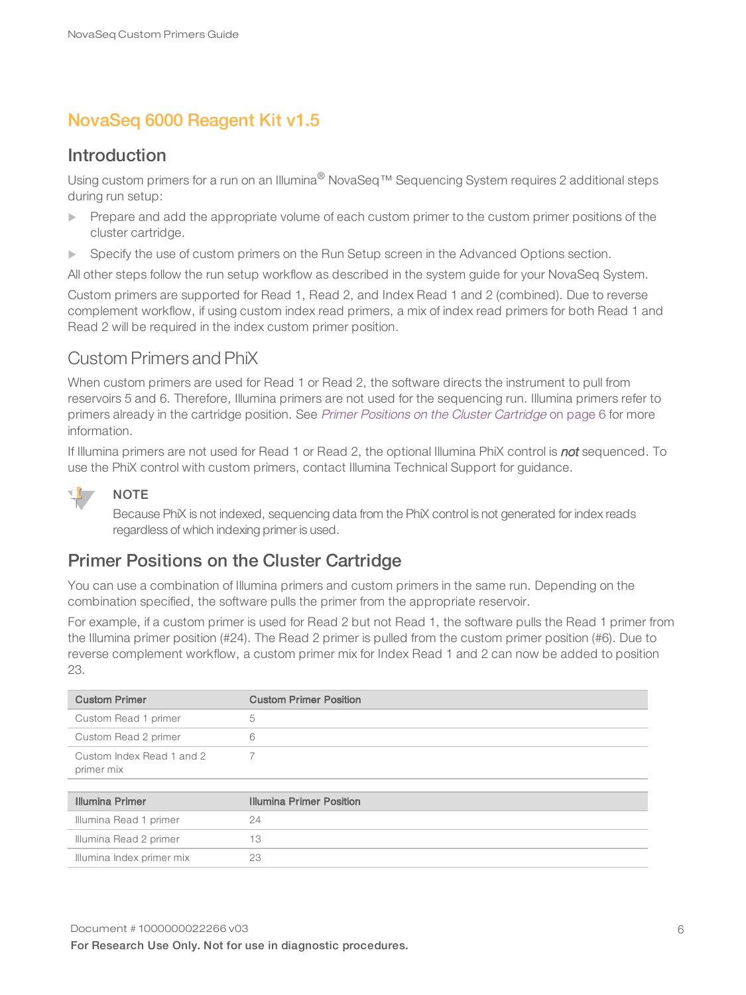### <span id="page-5-0"></span>NovaSeq 6000 Reagent Kit v1.5

#### Introduction

Using custom primers for a run on an Illumina® NovaSeq<sup>™</sup> Sequencing System requires 2 additional steps during run setup:

- $\blacktriangleright$  Prepare and add the appropriate volume of each custom primer to the custom primer positions of the cluster cartridge.
- Specify the use of custom primers on the Run Setup screen in the Advanced Options section.

All other steps follow the run setup workflow as described in the system guide for your NovaSeq System.

Custom primers are supported for Read 1, Read 2, and Index Read 1 and 2 (combined). Due to reverse complement workflow, if using custom index read primers, a mix of index read primers for both Read 1 and Read 2 will be required in the index custom primer position.

#### Custom Primers and PhiX

When custom primers are used for Read 1 or Read 2, the software directs the instrument to pull from reservoirs 5 and 6. Therefore, Illumina primers are not used for the sequencing run. Illumina primers refer to primers already in the cartridge position. See Primer Positions on the Cluster [Cartridge](#page-5-1) on page 6 for more information.

If Illumina primers are not used for Read 1 or Read 2, the optional Illumina PhiX control is not sequenced. To use the PhiX control with custom primers, contact Illumina Technical Support for guidance.



#### NOTE

Because PhiX is not indexed, sequencing data from the PhiX control is not generated for index reads regardless of which indexing primer is used.

#### <span id="page-5-1"></span>Primer Positions on the Cluster Cartridge

You can use a combination of Illumina primers and custom primers in the same run. Depending on the combination specified, the software pulls the primer from the appropriate reservoir.

For example, if a custom primer is used for Read 2 but not Read 1, the software pulls the Read 1 primer from the Illumina primer position (#24). The Read 2 primer is pulled from the custom primer position (#6). Due to reverse complement workflow, a custom primer mix for Index Read 1 and 2 can now be added to position 23.

| <b>Custom Primer</b>                    | <b>Custom Primer Position</b> |
|-----------------------------------------|-------------------------------|
| Custom Read 1 primer                    | b.                            |
| Custom Read 2 primer                    |                               |
| Custom Index Read 1 and 2<br>primer mix |                               |

| <b>Illumina Primer</b>    | Illumina Primer Position |
|---------------------------|--------------------------|
| Illumina Read 1 primer    | 24                       |
| Illumina Read 2 primer    | 13                       |
| Illumina Index primer mix | 23                       |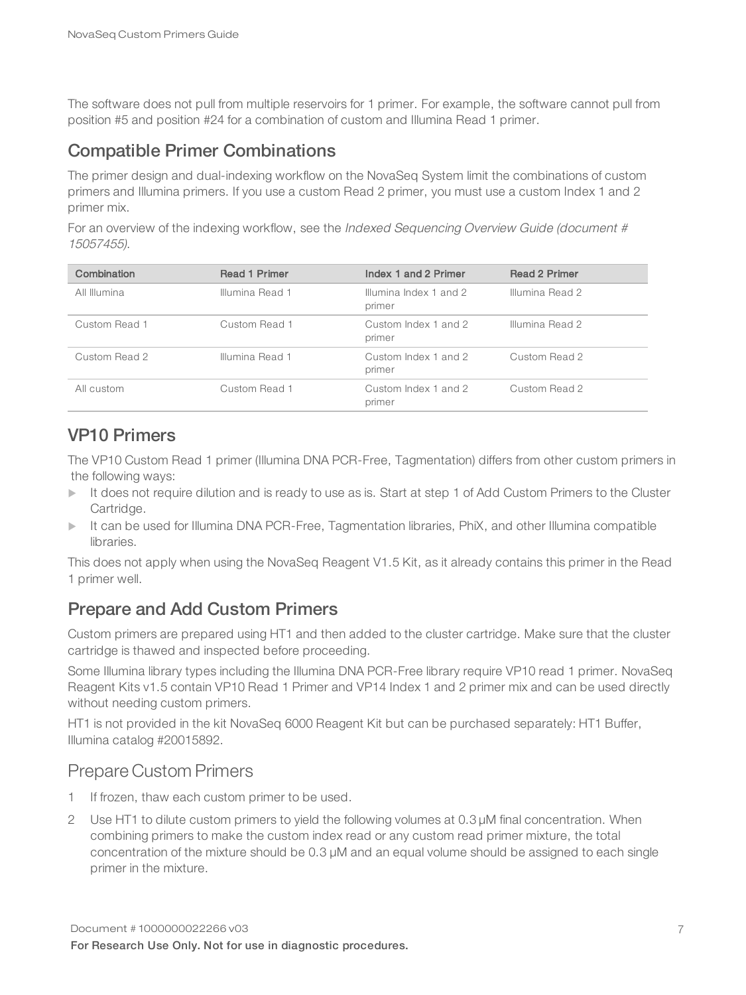The software does not pull from multiple reservoirs for 1 primer. For example, the software cannot pull from position #5 and position #24 for a combination of custom and Illumina Read 1 primer.

#### Compatible Primer Combinations

The primer design and dual-indexing workflow on the NovaSeq System limit the combinations of custom primers and Illumina primers. If you use a custom Read 2 primer, you must use a custom Index 1 and 2 primer mix.

For an overview of the indexing workflow, see the Indexed Sequencing Overview Guide (document # 15057455).

| Combination   | <b>Read 1 Primer</b> | Index 1 and 2 Primer             | <b>Read 2 Primer</b> |
|---------------|----------------------|----------------------------------|----------------------|
| All Illumina  | Illumina Read 1      | Illumina Index 1 and 2<br>primer | Illumina Read 2      |
| Custom Read 1 | Custom Read 1        | Custom Index 1 and 2<br>primer   | Illumina Read 2      |
| Custom Read 2 | Illumina Read 1      | Custom Index 1 and 2<br>primer   | Custom Read 2        |
| All custom    | Custom Read 1        | Custom Index 1 and 2<br>primer   | Custom Read 2        |

#### VP10 Primers

The VP10 Custom Read 1 primer (Illumina DNA PCR-Free, Tagmentation) differs from other custom primers in the following ways:

- $\blacktriangleright$  It does not require dilution and is ready to use as is. Start at step 1 of Add Custom Primers to the Cluster Cartridge.
- $\triangleright$  It can be used for Illumina DNA PCR-Free, Tagmentation libraries, PhiX, and other Illumina compatible libraries.

This does not apply when using the NovaSeq Reagent V1.5 Kit, as it already contains this primer in the Read 1 primer well.

#### Prepare and Add Custom Primers

Custom primers are prepared using HT1 and then added to the cluster cartridge. Make sure that the cluster cartridge is thawed and inspected before proceeding.

Some Illumina library types including the Illumina DNA PCR-Free library require VP10 read 1 primer. NovaSeq Reagent Kits v1.5 contain VP10 Read 1 Primer and VP14 Index 1 and 2 primer mix and can be used directly without needing custom primers.

HT1 is not provided in the kit NovaSeq 6000 Reagent Kit but can be purchased separately: HT1 Buffer, Illumina catalog #20015892.

#### Prepare Custom Primers

- 1 If frozen, thaw each custom primer to be used.
- 2 Use HT1 to dilute custom primers to yield the following volumes at 0.3 µM final concentration. When combining primers to make the custom index read or any custom read primer mixture, the total concentration of the mixture should be 0.3 µM and an equal volume should be assigned to each single primer in the mixture.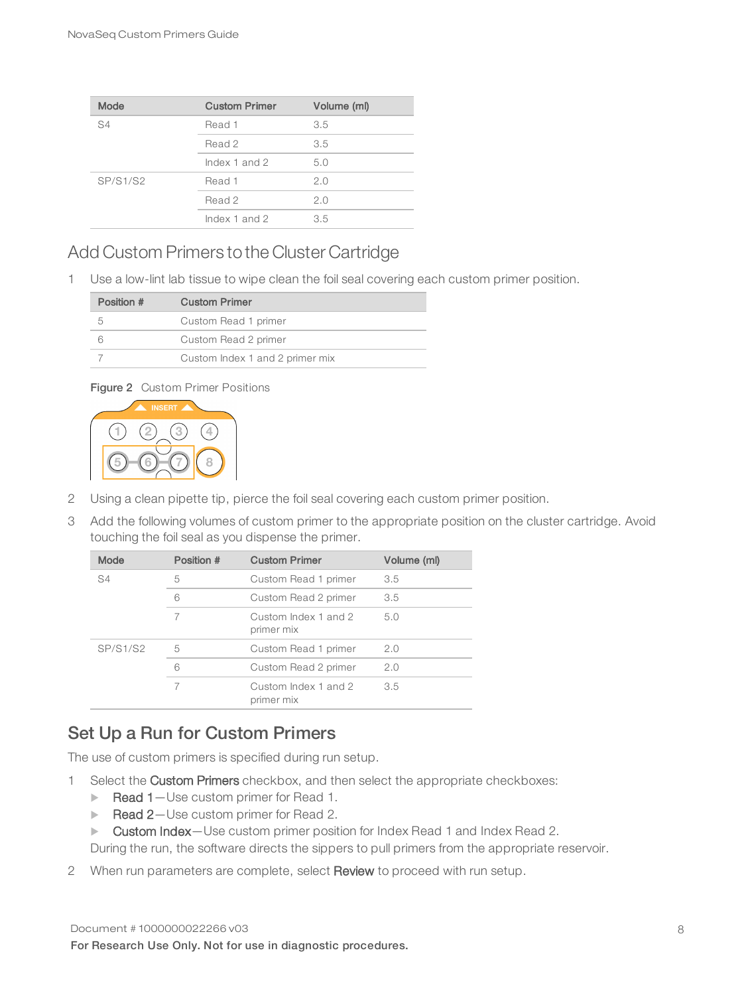| Mode     | <b>Custom Primer</b> | Volume (ml) |
|----------|----------------------|-------------|
| S4       | Read 1               | 3.5         |
|          | Read 2               | 3.5         |
|          | Index $1$ and $2$    | 5.0         |
| SP/S1/S2 | Read 1               | 2.0         |
|          | Read 2               | 2.0         |
|          | Index $1$ and $2$    | 3.5         |

#### Add Custom Primers to the Cluster Cartridge

1 Use a low-lint lab tissue to wipe clean the foil seal covering each custom primer position.

| Position # | <b>Custom Primer</b>            |
|------------|---------------------------------|
|            | Custom Read 1 primer            |
|            | Custom Read 2 primer            |
|            | Custom Index 1 and 2 primer mix |

#### Figure 2 Custom Primer Positions



- 2 Using a clean pipette tip, pierce the foil seal covering each custom primer position.
- 3 Add the following volumes of custom primer to the appropriate position on the cluster cartridge. Avoid touching the foil seal as you dispense the primer.

| Mode            | Position # | <b>Custom Primer</b>               | Volume (ml) |
|-----------------|------------|------------------------------------|-------------|
| S4              | 5          | Custom Read 1 primer               | 3.5         |
|                 | 6          | Custom Read 2 primer               | 3.5         |
|                 | 7          | Custom Index 1 and 2<br>primer mix | 5.0         |
| <b>SP/S1/S2</b> | 5          | Custom Read 1 primer               | 2.0         |
|                 | 6          | Custom Read 2 primer               | 2.0         |
|                 | 7          | Custom Index 1 and 2<br>primer mix | 3.5         |

#### Set Up a Run for Custom Primers

The use of custom primers is specified during run setup.

- 1 Select the Custom Primers checkbox, and then select the appropriate checkboxes:
	- $\blacktriangleright$  Read 1-Use custom primer for Read 1.
	- Read 2-Use custom primer for Read 2.
	- ▶ Custom Index-Use custom primer position for Index Read 1 and Index Read 2.

During the run, the software directs the sippers to pull primers from the appropriate reservoir.

2 When run parameters are complete, select Review to proceed with run setup.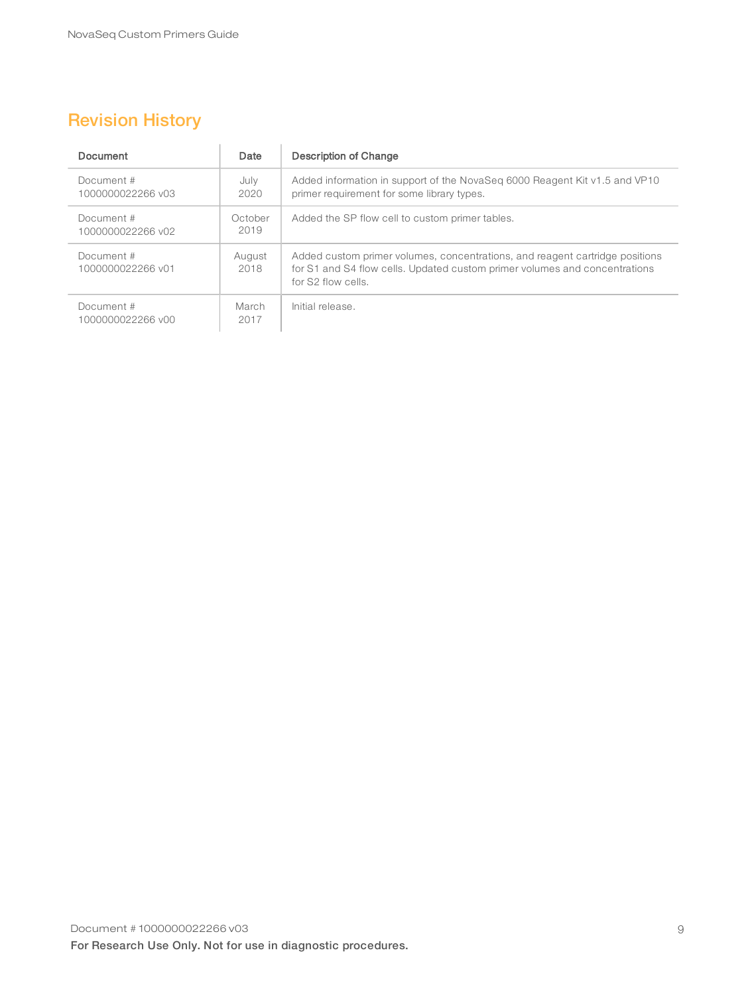## <span id="page-8-0"></span>Revision History

| Document                        | Date            | Description of Change                                                                                                                                                            |
|---------------------------------|-----------------|----------------------------------------------------------------------------------------------------------------------------------------------------------------------------------|
| Document #<br>1000000022266 v03 | July<br>2020    | Added information in support of the NovaSeq 6000 Reagent Kit v1.5 and VP10<br>primer requirement for some library types.                                                         |
| Document #<br>1000000022266 v02 | October<br>2019 | Added the SP flow cell to custom primer tables.                                                                                                                                  |
| Document #<br>1000000022266 v01 | August<br>2018  | Added custom primer volumes, concentrations, and reagent cartridge positions<br>for S1 and S4 flow cells. Updated custom primer volumes and concentrations<br>for S2 flow cells. |
| Document#<br>1000000022266 v00  | March<br>2017   | Initial release.                                                                                                                                                                 |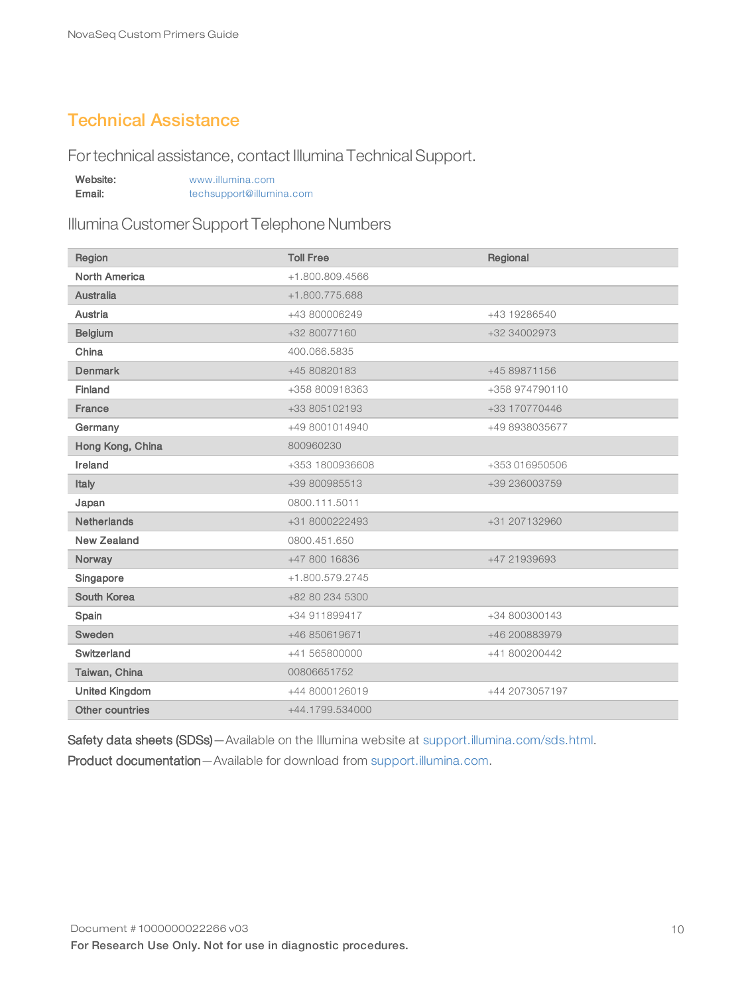#### <span id="page-9-0"></span>Technical Assistance

Fortechnical assistance, contact Illumina Technical Support.

| Website: | www.illumina.com         |  |
|----------|--------------------------|--|
| Email:   | techsupport@illumina.com |  |

Illumina Customer Support Telephone Numbers

| Region                | <b>Toll Free</b> | Regional       |
|-----------------------|------------------|----------------|
| <b>North America</b>  | +1.800.809.4566  |                |
| <b>Australia</b>      | +1.800.775.688   |                |
| Austria               | +43 800006249    | +43 19286540   |
| <b>Belgium</b>        | +32 80077160     | +32 34002973   |
| China                 | 400.066.5835     |                |
| <b>Denmark</b>        | +45 80820183     | +45 89871156   |
| Finland               | +358 800918363   | +358 974790110 |
| France                | +33 805102193    | +33 170770446  |
| Germany               | +49 8001014940   | +49 8938035677 |
| Hong Kong, China      | 800960230        |                |
| Ireland               | +353 1800936608  | +353 016950506 |
| Italy                 | +39 800985513    | +39 236003759  |
| Japan                 | 0800.111.5011    |                |
| <b>Netherlands</b>    | +31 8000222493   | +31 207132960  |
| New Zealand           | 0800.451.650     |                |
| Norway                | +47 800 16836    | +47 21939693   |
| Singapore             | +1.800.579.2745  |                |
| South Korea           | +82 80 234 5300  |                |
| Spain                 | +34 911899417    | +34 800300143  |
| Sweden                | +46 850619671    | +46 200883979  |
| Switzerland           | +41 565800000    | +41 800200442  |
| Taiwan, China         | 00806651752      |                |
| <b>United Kingdom</b> | +44 8000126019   | +44 2073057197 |
| Other countries       | +44.1799.534000  |                |

Safety data sheets (SDSs) - Available on the Illumina website at [support.illumina.com/sds.html](http://support.illumina.com/sds.html). Product documentation—Available for download from [support.illumina.com](http://support.illumina.com/).